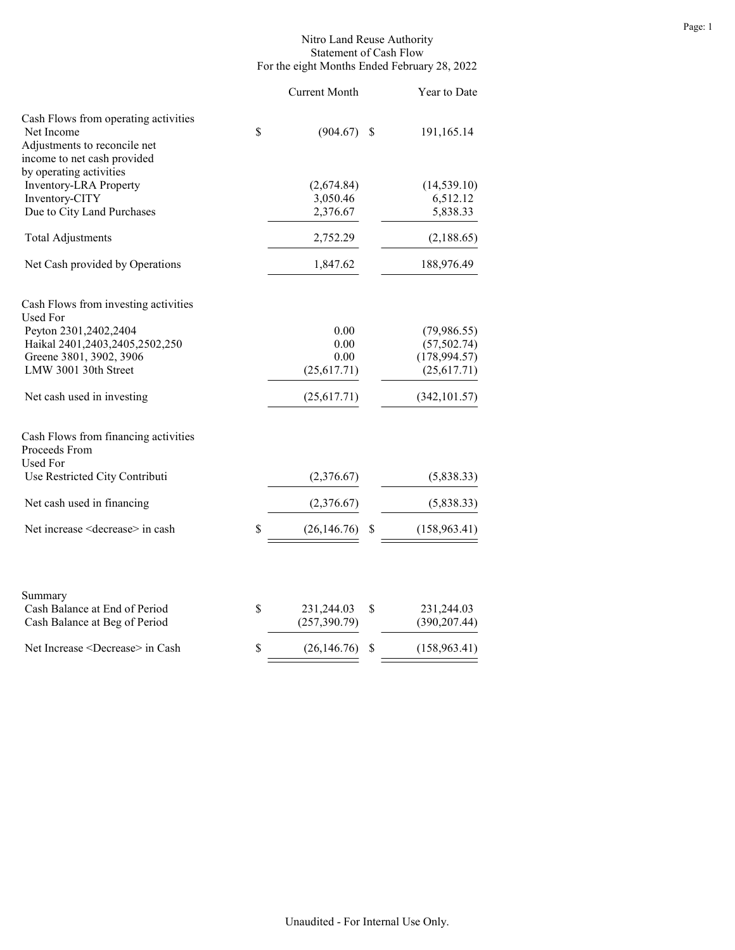### Nitro Land Reuse Authority Statement of Cash Flow For the eight Months Ended February 28, 2022

|                                                                                    | <b>Current Month</b> |    | Year to Date  |
|------------------------------------------------------------------------------------|----------------------|----|---------------|
| Cash Flows from operating activities<br>Net Income<br>Adjustments to reconcile net | \$<br>(904.67)       | -S | 191,165.14    |
| income to net cash provided<br>by operating activities                             |                      |    |               |
| <b>Inventory-LRA Property</b>                                                      | (2,674.84)           |    | (14, 539.10)  |
| Inventory-CITY                                                                     | 3,050.46             |    | 6,512.12      |
| Due to City Land Purchases                                                         | 2,376.67             |    | 5,838.33      |
| <b>Total Adjustments</b>                                                           | 2,752.29             |    | (2,188.65)    |
| Net Cash provided by Operations                                                    | 1,847.62             |    | 188,976.49    |
| Cash Flows from investing activities<br>Used For                                   |                      |    |               |
| Peyton 2301,2402,2404                                                              | 0.00                 |    | (79,986.55)   |
| Haikal 2401,2403,2405,2502,250                                                     | 0.00                 |    | (57, 502.74)  |
| Greene 3801, 3902, 3906                                                            | 0.00                 |    | (178, 994.57) |
| LMW 3001 30th Street                                                               | (25,617.71)          |    | (25,617.71)   |
| Net cash used in investing                                                         | (25,617.71)          |    | (342, 101.57) |
| Cash Flows from financing activities<br>Proceeds From<br>Used For                  |                      |    |               |
| Use Restricted City Contributi                                                     | (2,376.67)           |    | (5,838.33)    |
| Net cash used in financing                                                         | (2,376.67)           |    | (5,838.33)    |
| Net increase <decrease> in cash</decrease>                                         | \$<br>(26, 146.76)   | \$ | (158, 963.41) |
| Summary                                                                            |                      |    |               |
| Cash Balance at End of Period                                                      | \$<br>231,244.03     | \$ | 231,244.03    |
| Cash Balance at Beg of Period                                                      | (257, 390.79)        |    | (390, 207.44) |
| Net Increase <decrease> in Cash</decrease>                                         | \$<br>(26, 146.76)   | \$ | (158, 963.41) |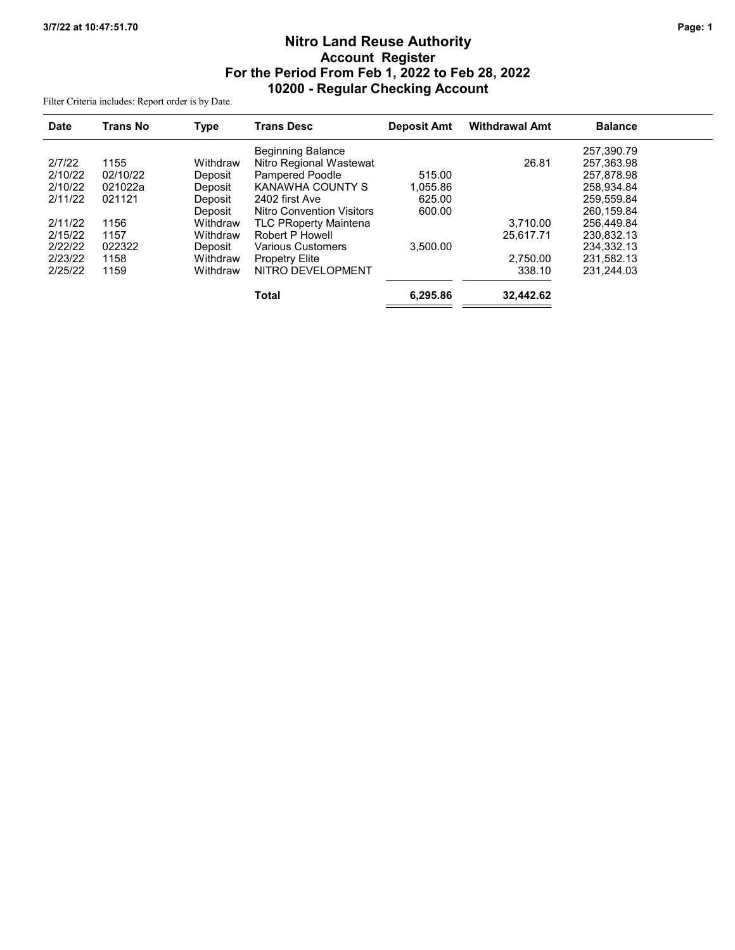# Nitro Land Reuse Authority Account Register For the Period From Feb 1, 2022 to Feb 28, 2022 10200 - Regular Checking Account

Filter Criteria includes: Report order is by Date.

| <b>Date</b> | <b>Trans No</b> | <b>Type</b> | <b>Trans Desc</b>            | <b>Deposit Amt</b> | <b>Withdrawal Amt</b> | <b>Balance</b> |  |
|-------------|-----------------|-------------|------------------------------|--------------------|-----------------------|----------------|--|
|             |                 |             | <b>Beginning Balance</b>     |                    |                       | 257.390.79     |  |
| 2/7/22      | 1155            | Withdraw    | Nitro Regional Wastewat      |                    | 26.81                 | 257.363.98     |  |
| 2/10/22     | 02/10/22        | Deposit     | <b>Pampered Poodle</b>       | 515.00             |                       | 257,878.98     |  |
| 2/10/22     | 021022a         | Deposit     | KANAWHA COUNTY S             | 1,055.86           |                       | 258.934.84     |  |
| 2/11/22     | 021121          | Deposit     | 2402 first Ave               | 625.00             |                       | 259.559.84     |  |
|             |                 | Deposit     | Nitro Convention Visitors    | 600.00             |                       | 260.159.84     |  |
| 2/11/22     | 1156            | Withdraw    | <b>TLC PRoperty Maintena</b> |                    | 3.710.00              | 256.449.84     |  |
| 2/15/22     | 1157            | Withdraw    | Robert P Howell              |                    | 25.617.71             | 230.832.13     |  |
| 2/22/22     | 022322          | Deposit     | <b>Various Customers</b>     | 3.500.00           |                       | 234.332.13     |  |
| 2/23/22     | 1158            | Withdraw    | <b>Propetry Elite</b>        |                    | 2.750.00              | 231.582.13     |  |
| 2/25/22     | 1159            | Withdraw    | NITRO DEVELOPMENT            |                    | 338.10                | 231.244.03     |  |
|             |                 |             | <b>Total</b>                 | 6.295.86           | 32.442.62             |                |  |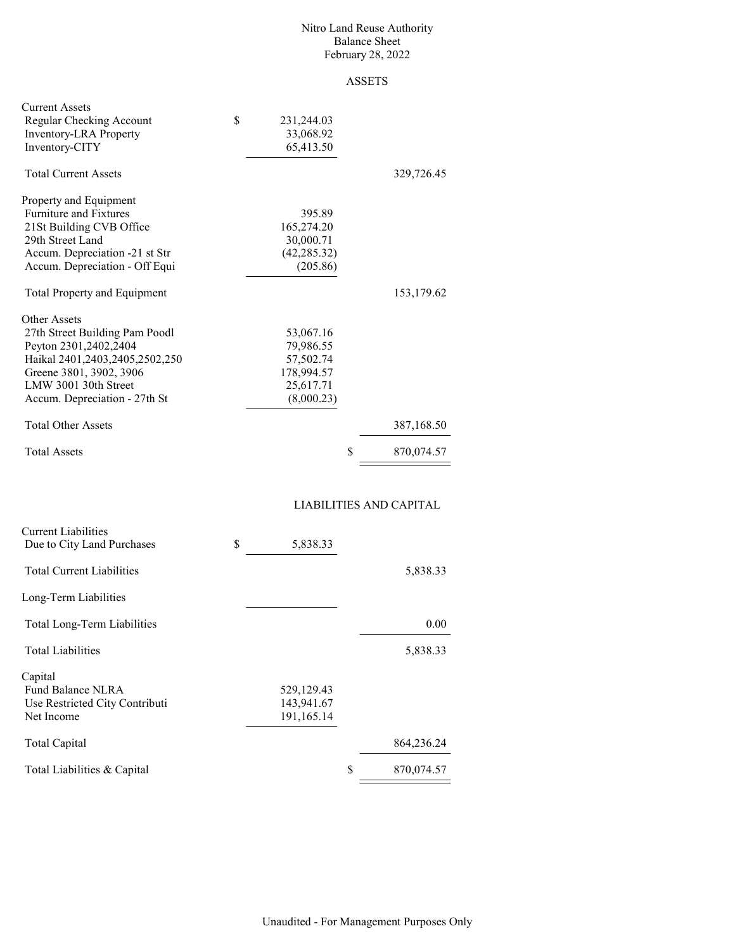#### Nitro Land Reuse Authority Balance Sheet February 28, 2022

## ASSETS

| <b>Current Assets</b><br>Regular Checking Account<br><b>Inventory-LRA</b> Property<br>Inventory-CITY | \$<br>231,244.03<br>33,068.92<br>65,413.50 |                  |
|------------------------------------------------------------------------------------------------------|--------------------------------------------|------------------|
| <b>Total Current Assets</b>                                                                          |                                            | 329,726.45       |
| Property and Equipment                                                                               |                                            |                  |
| <b>Furniture and Fixtures</b>                                                                        | 395.89                                     |                  |
| 21St Building CVB Office                                                                             | 165,274.20                                 |                  |
| 29th Street Land                                                                                     | 30,000.71                                  |                  |
| Accum. Depreciation -21 st Str                                                                       | (42, 285.32)                               |                  |
| Accum. Depreciation - Off Equi                                                                       | (205.86)                                   |                  |
| <b>Total Property and Equipment</b>                                                                  |                                            | 153,179.62       |
| Other Assets                                                                                         |                                            |                  |
| 27th Street Building Pam Poodl                                                                       | 53,067.16                                  |                  |
| Peyton 2301,2402,2404                                                                                | 79,986.55                                  |                  |
| Haikal 2401,2403,2405,2502,250                                                                       | 57,502.74                                  |                  |
| Greene 3801, 3902, 3906                                                                              | 178,994.57                                 |                  |
| LMW 3001 30th Street                                                                                 | 25,617.71                                  |                  |
| Accum. Depreciation - 27th St                                                                        | (8,000.23)                                 |                  |
| <b>Total Other Assets</b>                                                                            |                                            | 387,168.50       |
| <b>Total Assets</b>                                                                                  |                                            | \$<br>870,074.57 |

### LIABILITIES AND CAPITAL

| <b>Current Liabilities</b><br>Due to City Land Purchases | \$<br>5,838.33 |   |            |
|----------------------------------------------------------|----------------|---|------------|
|                                                          |                |   |            |
| <b>Total Current Liabilities</b>                         |                |   | 5,838.33   |
| Long-Term Liabilities                                    |                |   |            |
| Total Long-Term Liabilities                              |                |   | 0.00       |
| <b>Total Liabilities</b>                                 |                |   | 5,838.33   |
| Capital                                                  |                |   |            |
| Fund Balance NLRA                                        | 529,129.43     |   |            |
| Use Restricted City Contributi                           | 143,941.67     |   |            |
| Net Income                                               | 191,165.14     |   |            |
| Total Capital                                            |                |   | 864,236.24 |
| Total Liabilities & Capital                              |                | S | 870,074.57 |
|                                                          |                |   |            |